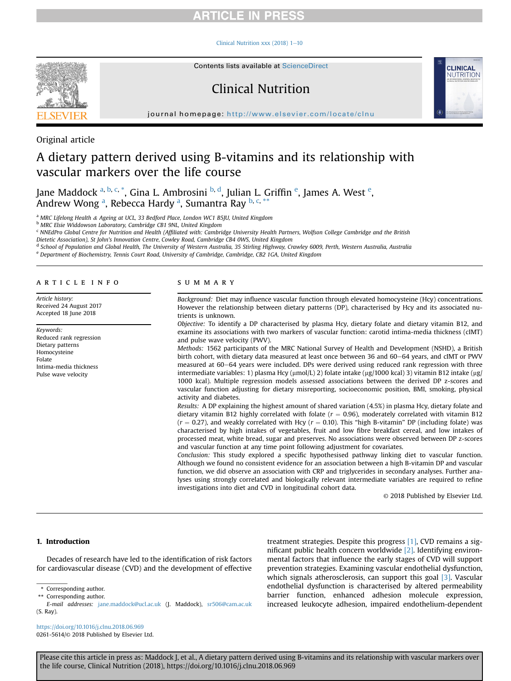#### Clinical Nutrition xxx  $(2018)$  1-[10](https://doi.org/10.1016/j.clnu.2018.06.969)



Contents lists available at ScienceDirect

# Clinical Nutrition



journal homepage: <http://www.elsevier.com/locate/clnu>

# Original article

# A dietary pattern derived using B-vitamins and its relationship with vascular markers over the life course

Jane Maddock <sup>a, b, c, \*</sup>, Gina L. Ambrosini <sup>b, d</sup>, Julian L. Griffin <sup>e</sup>, James A. West <sup>e</sup>, Andrew Wong <sup>a</sup>, Rebecca Hardy <sup>a</sup>, Sumantra Ray <sup>b, c,</sup> \*\*

<sup>a</sup> MRC Lifelong Health & Ageing at UCL, 33 Bedford Place, London WC1 B5JU, United Kingdom

**b MRC Elsie Widdowson Laboratory, Cambridge CB1 9NL, United Kingdom** 

<sup>c</sup> NNEdPro Global Centre for Nutrition and Health (Affiliated with: Cambridge University Health Partners, Wolfson College Cambridge and the British

Dietetic Association), St John's Innovation Centre, Cowley Road, Cambridge CB4 0WS, United Kingdom

<sup>d</sup> School of Population and Global Health, The University of Western Australia, 35 Stirling Highway, Crawley 6009, Perth, Western Australia, Australia

<sup>e</sup> Department of Biochemistry, Tennis Court Road, University of Cambridge, Cambridge, CB2 1GA, United Kingdom

# article info

Article history: Received 24 August 2017 Accepted 18 June 2018

Keywords: Reduced rank regression Dietary patterns Homocysteine Folate Intima-media thickness Pulse wave velocity

# summary

Background: Diet may influence vascular function through elevated homocysteine (Hcy) concentrations. However the relationship between dietary patterns (DP), characterised by Hcy and its associated nutrients is unknown.

Objective: To identify a DP characterised by plasma Hcy, dietary folate and dietary vitamin B12, and examine its associations with two markers of vascular function: carotid intima-media thickness (cIMT) and pulse wave velocity (PWV).

Methods: 1562 participants of the MRC National Survey of Health and Development (NSHD), a British birth cohort, with dietary data measured at least once between 36 and 60–64 years, and cIMT or PWV measured at 60-64 years were included. DPs were derived using reduced rank regression with three intermediate variables: 1) plasma Hcy ( $\mu$ mol/L) 2) folate intake ( $\mu$ g/1000 kcal) 3) vitamin B12 intake ( $\mu$ g/ 1000 kcal). Multiple regression models assessed associations between the derived DP z-scores and vascular function adjusting for dietary misreporting, socioeconomic position, BMI, smoking, physical activity and diabetes.

Results: A DP explaining the highest amount of shared variation (4.5%) in plasma Hcy, dietary folate and dietary vitamin B12 highly correlated with folate ( $r = 0.96$ ), moderately correlated with vitamin B12  $(r = 0.27)$ , and weakly correlated with Hcy  $(r = 0.10)$ . This "high B-vitamin" DP (including folate) was characterised by high intakes of vegetables, fruit and low fibre breakfast cereal, and low intakes of processed meat, white bread, sugar and preserves. No associations were observed between DP z-scores and vascular function at any time point following adjustment for covariates.

Conclusion: This study explored a specific hypothesised pathway linking diet to vascular function. Although we found no consistent evidence for an association between a high B-vitamin DP and vascular function, we did observe an association with CRP and triglycerides in secondary analyses. Further analyses using strongly correlated and biologically relevant intermediate variables are required to refine investigations into diet and CVD in longitudinal cohort data.

© 2018 Published by Elsevier Ltd.

# 1. Introduction

Decades of research have led to the identification of risk factors for cardiovascular disease (CVD) and the development of effective

<https://doi.org/10.1016/j.clnu.2018.06.969> 0261-5614/© 2018 Published by Elsevier Ltd. treatment strategies. Despite this progress [\[1\],](#page-8-0) CVD remains a significant public health concern worldwide [\[2\].](#page-8-0) Identifying environmental factors that influence the early stages of CVD will support prevention strategies. Examining vascular endothelial dysfunction, which signals atherosclerosis, can support this goal [\[3\]](#page-8-0). Vascular endothelial dysfunction is characterised by altered permeability barrier function, enhanced adhesion molecule expression, increased leukocyte adhesion, impaired endothelium-dependent

<sup>\*</sup> Corresponding author.

<sup>\*\*</sup> Corresponding author.

E-mail addresses: [jane.maddock@ucl.ac.uk](mailto:jane.maddock@ucl.ac.uk) (J. Maddock), [sr506@cam.ac.uk](mailto:sr506@cam.ac.uk) (S. Ray).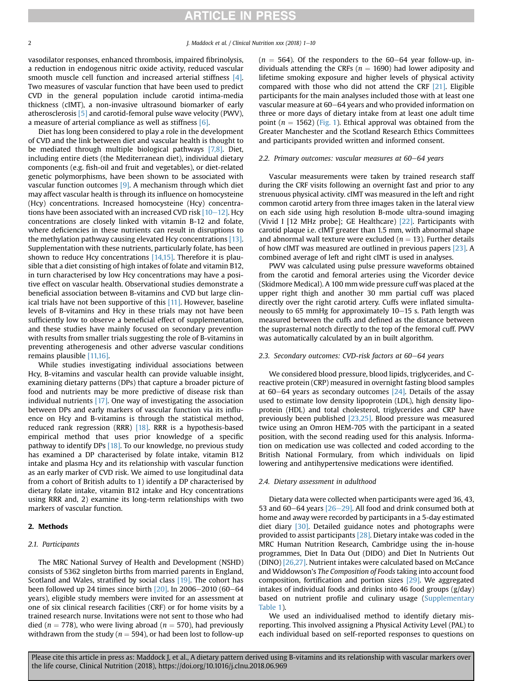vasodilator responses, enhanced thrombosis, impaired fibrinolysis, a reduction in endogenous nitric oxide activity, reduced vascular smooth muscle cell function and increased arterial stiffness [\[4\].](#page-8-0) Two measures of vascular function that have been used to predict CVD in the general population include carotid intima-media thickness (cIMT), a non-invasive ultrasound biomarker of early atherosclerosis [\[5\]](#page-8-0) and carotid-femoral pulse wave velocity (PWV), a measure of arterial compliance as well as stiffness [\[6\].](#page-8-0)

Diet has long been considered to play a role in the development of CVD and the link between diet and vascular health is thought to be mediated through multiple biological pathways [\[7,8\]](#page-8-0). Diet, including entire diets (the Mediterranean diet), individual dietary components (e.g. fish-oil and fruit and vegetables), or diet-related genetic polymorphisms, have been shown to be associated with vascular function outcomes [\[9\].](#page-8-0) A mechanism through which diet may affect vascular health is through its influence on homocysteine (Hcy) concentrations. Increased homocysteine (Hcy) concentrations have been associated with an increased CVD risk  $[10-12]$  $[10-12]$ . Hcy concentrations are closely linked with vitamin B-12 and folate, where deficiencies in these nutrients can result in disruptions to the methylation pathway causing elevated Hcy concentrations [\[13\].](#page-8-0) Supplementation with these nutrients, particularly folate, has been shown to reduce Hcy concentrations [\[14,15\].](#page-8-0) Therefore it is plausible that a diet consisting of high intakes of folate and vitamin B12, in turn characterised by low Hcy concentrations may have a positive effect on vascular health. Observational studies demonstrate a beneficial association between B-vitamins and CVD but large clinical trials have not been supportive of this [\[11\]](#page-8-0). However, baseline levels of B-vitamins and Hcy in these trials may not have been sufficiently low to observe a beneficial effect of supplementation, and these studies have mainly focused on secondary prevention with results from smaller trials suggesting the role of B-vitamins in preventing atherogenesis and other adverse vascular conditions remains plausible [\[11,16\]](#page-8-0).

While studies investigating individual associations between Hcy, B-vitamins and vascular health can provide valuable insight, examining dietary patterns (DPs) that capture a broader picture of food and nutrients may be more predictive of disease risk than individual nutrients [\[17\]](#page-8-0). One way of investigating the association between DPs and early markers of vascular function via its influence on Hcy and B-vitamins is through the statistical method, reduced rank regression (RRR) [\[18\].](#page-8-0) RRR is a hypothesis-based empirical method that uses prior knowledge of a specific pathway to identify DPs [\[18\]](#page-8-0). To our knowledge, no previous study has examined a DP characterised by folate intake, vitamin B12 intake and plasma Hcy and its relationship with vascular function as an early marker of CVD risk. We aimed to use longitudinal data from a cohort of British adults to 1) identify a DP characterised by dietary folate intake, vitamin B12 intake and Hcy concentrations using RRR and, 2) examine its long-term relationships with two markers of vascular function.

# 2. Methods

#### 2.1. Participants

The MRC National Survey of Health and Development (NSHD) consists of 5362 singleton births from married parents in England, Scotland and Wales, stratified by social class [\[19\].](#page-8-0) The cohort has been followed up 24 times since birth  $[20]$ . In 2006–2010 (60–64 years), eligible study members were invited for an assessment at one of six clinical research facilities (CRF) or for home visits by a trained research nurse. Invitations were not sent to those who had died ( $n = 778$ ), who were living abroad ( $n = 570$ ), had previously withdrawn from the study ( $n = 594$ ), or had been lost to follow-up  $(n = 564)$ . Of the responders to the 60–64 year follow-up, individuals attending the CRFs ( $n = 1690$ ) had lower adiposity and lifetime smoking exposure and higher levels of physical activity compared with those who did not attend the CRF [\[21\]](#page-9-0). Eligible participants for the main analyses included those with at least one vascular measure at 60–64 years and who provided information on three or more days of dietary intake from at least one adult time point ( $n = 1562$ ) ([Fig. 1\)](#page-2-0). Ethical approval was obtained from the Greater Manchester and the Scotland Research Ethics Committees and participants provided written and informed consent.

#### 2.2. Primary outcomes: vascular measures at  $60-64$  years

Vascular measurements were taken by trained research staff during the CRF visits following an overnight fast and prior to any strenuous physical activity. cIMT was measured in the left and right common carotid artery from three images taken in the lateral view on each side using high resolution B-mode ultra-sound imaging (Vivid I [12 MHz probe]; GE Healthcare) [\[22\]](#page-9-0). Participants with carotid plaque i.e. cIMT greater than 1.5 mm, with abnormal shape and abnormal wall texture were excluded ( $n = 13$ ). Further details of how cIMT was measured are outlined in previous papers [\[23\]](#page-9-0). A combined average of left and right cIMT is used in analyses.

PWV was calculated using pulse pressure waveforms obtained from the carotid and femoral arteries using the Vicorder device (Skidmore Medical). A 100 mm wide pressure cuff was placed at the upper right thigh and another 30 mm partial cuff was placed directly over the right carotid artery. Cuffs were inflated simultaneously to 65 mmHg for approximately  $10-15$  s. Path length was measured between the cuffs and defined as the distance between the suprasternal notch directly to the top of the femoral cuff. PWV was automatically calculated by an in built algorithm.

#### 2.3. Secondary outcomes: CVD-risk factors at 60-64 years

We considered blood pressure, blood lipids, triglycerides, and Creactive protein (CRP) measured in overnight fasting blood samples at 60–64 years as secondary outcomes  $[24]$ . Details of the assay used to estimate low density lipoprotein (LDL), high density lipoprotein (HDL) and total cholesterol, triglycerides and CRP have previously been published [\[23,25\].](#page-9-0) Blood pressure was measured twice using an Omron HEM-705 with the participant in a seated position, with the second reading used for this analysis. Information on medication use was collected and coded according to the British National Formulary, from which individuals on lipid lowering and antihypertensive medications were identified.

## 2.4. Dietary assessment in adulthood

Dietary data were collected when participants were aged 36, 43, 53 and 60–64 years  $[26-29]$  $[26-29]$ . All food and drink consumed both at home and away were recorded by participants in a 5-day estimated diet diary [\[30\]](#page-9-0). Detailed guidance notes and photographs were provided to assist participants [\[28\]](#page-9-0). Dietary intake was coded in the MRC Human Nutrition Research, Cambridge using the in-house programmes, Diet In Data Out (DIDO) and Diet In Nutrients Out (DINO) [\[26,27\].](#page-9-0) Nutrient intakes were calculated based on McCance and Widdowson's The Composition of Foods taking into account food composition, fortification and portion sizes [\[29\]](#page-9-0). We aggregated intakes of individual foods and drinks into 46 food groups (g/day) based on nutrient profile and culinary usage (Supplementary Table 1).

We used an individualised method to identify dietary misreporting. This involved assigning a Physical Activity Level (PAL) to each individual based on self-reported responses to questions on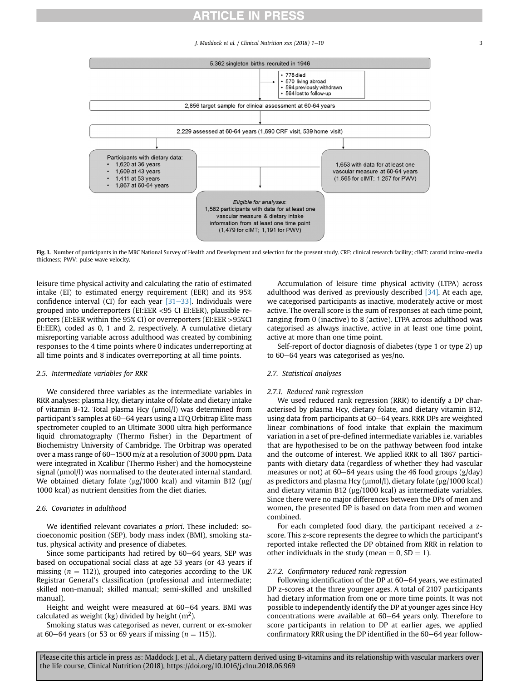*I. Maddock et al.* / Clinical Nutrition  $xxx$  (2018)  $1-10$  3

<span id="page-2-0"></span>

Fig. 1. Number of participants in the MRC National Survey of Health and Development and selection for the present study. CRF: clinical research facility; clMT: carotid intima-media thickness; PWV: pulse wave velocity.

leisure time physical activity and calculating the ratio of estimated intake (EI) to estimated energy requirement (EER) and its 95% confidence interval (CI) for each year  $[31-33]$  $[31-33]$  $[31-33]$ . Individuals were grouped into underreporters (EI:EER <95 CI EI:EER), plausible reporters (EI:EER within the 95% CI) or overreporters (EI:EER >95%CI EI:EER), coded as 0, 1 and 2, respectively. A cumulative dietary misreporting variable across adulthood was created by combining responses to the 4 time points where 0 indicates underreporting at all time points and 8 indicates overreporting at all time points.

#### 2.5. Intermediate variables for RRR

We considered three variables as the intermediate variables in RRR analyses: plasma Hcy, dietary intake of folate and dietary intake of vitamin B-12. Total plasma Hcy (µmol/l) was determined from participant's samples at 60–64 years using a LTQ Orbitrap Elite mass spectrometer coupled to an Ultimate 3000 ultra high performance liquid chromatography (Thermo Fisher) in the Department of Biochemistry University of Cambridge. The Orbitrap was operated over a mass range of  $60-1500$  m/z at a resolution of 3000 ppm. Data were integrated in Xcalibur (Thermo Fisher) and the homocysteine signal ( $\mu$ mol/l) was normalised to the deuterated internal standard. We obtained dietary folate ( $\mu$ g/1000 kcal) and vitamin B12 ( $\mu$ g/ 1000 kcal) as nutrient densities from the diet diaries.

## 2.6. Covariates in adulthood

We identified relevant covariates a priori. These included: socioeconomic position (SEP), body mass index (BMI), smoking status, physical activity and presence of diabetes.

Since some participants had retired by  $60-64$  years, SEP was based on occupational social class at age 53 years (or 43 years if missing  $(n = 112)$ ), grouped into categories according to the UK Registrar General's classification (professional and intermediate; skilled non-manual; skilled manual; semi-skilled and unskilled manual).

Height and weight were measured at 60-64 years. BMI was calculated as weight (kg) divided by height (m<sup>2</sup>).

Smoking status was categorised as never, current or ex-smoker at 60–64 years (or 53 or 69 years if missing  $(n = 115)$ ).

Accumulation of leisure time physical activity (LTPA) across adulthood was derived as previously described  $[34]$ . At each age, we categorised participants as inactive, moderately active or most active. The overall score is the sum of responses at each time point, ranging from 0 (inactive) to 8 (active). LTPA across adulthood was categorised as always inactive, active in at least one time point, active at more than one time point.

Self-report of doctor diagnosis of diabetes (type 1 or type 2) up to  $60-64$  years was categorised as yes/no.

## 2.7. Statistical analyses

#### 2.7.1. Reduced rank regression

We used reduced rank regression (RRR) to identify a DP characterised by plasma Hcy, dietary folate, and dietary vitamin B12, using data from participants at 60-64 years. RRR DPs are weighted linear combinations of food intake that explain the maximum variation in a set of pre-defined intermediate variables i.e. variables that are hypothesised to be on the pathway between food intake and the outcome of interest. We applied RRR to all 1867 participants with dietary data (regardless of whether they had vascular measures or not) at  $60-64$  years using the 46 food groups (g/day) as predictors and plasma Hcy ( $\mu$ mol/l), dietary folate ( $\mu$ g/1000 kcal) and dietary vitamin B12 ( $\mu$ g/1000 kcal) as intermediate variables. Since there were no major differences between the DPs of men and women, the presented DP is based on data from men and women combined.

For each completed food diary, the participant received a zscore. This z-score represents the degree to which the participant's reported intake reflected the DP obtained from RRR in relation to other individuals in the study (mean  $= 0$ , SD  $= 1$ ).

#### 2.7.2. Confirmatory reduced rank regression

Following identification of the DP at 60–64 years, we estimated DP z-scores at the three younger ages. A total of 2107 participants had dietary information from one or more time points. It was not possible to independently identify the DP at younger ages since Hcy concentrations were available at  $60-64$  years only. Therefore to score participants in relation to DP at earlier ages, we applied confirmatory RRR using the DP identified in the 60-64 year follow-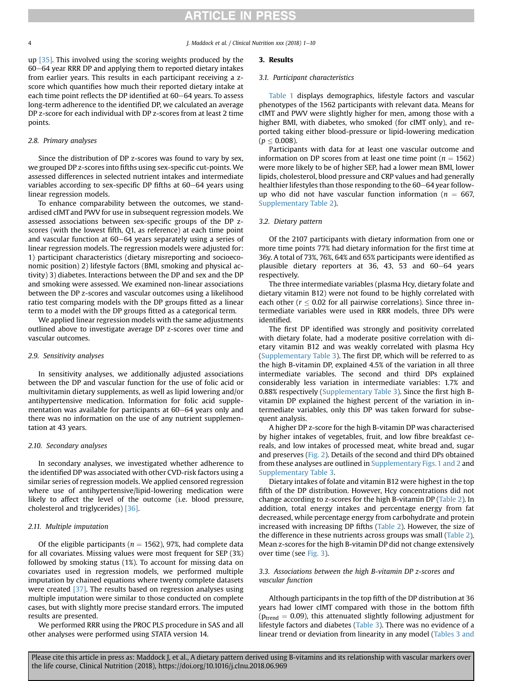J. Maddock et al. / Clinical Nutrition xxx (2018)  $1-10$ 

up [\[35\].](#page-9-0) This involved using the scoring weights produced by the 60-64 year RRR DP and applying them to reported dietary intakes from earlier years. This results in each participant receiving a zscore which quantifies how much their reported dietary intake at each time point reflects the DP identified at 60-64 years. To assess long-term adherence to the identified DP, we calculated an average DP z-score for each individual with DP z-scores from at least 2 time points.

# 2.8. Primary analyses

Since the distribution of DP z-scores was found to vary by sex, we grouped DP z-scores into fifths using sex-specific cut-points. We assessed differences in selected nutrient intakes and intermediate variables according to sex-specific DP fifths at  $60-64$  years using linear regression models.

To enhance comparability between the outcomes, we standardised cIMT and PWV for use in subsequent regression models. We assessed associations between sex-specific groups of the DP zscores (with the lowest fifth, Q1, as reference) at each time point and vascular function at  $60-64$  years separately using a series of linear regression models. The regression models were adjusted for: 1) participant characteristics (dietary misreporting and socioeconomic position) 2) lifestyle factors (BMI, smoking and physical activity) 3) diabetes. Interactions between the DP and sex and the DP and smoking were assessed. We examined non-linear associations between the DP z-scores and vascular outcomes using a likelihood ratio test comparing models with the DP groups fitted as a linear term to a model with the DP groups fitted as a categorical term.

We applied linear regression models with the same adjustments outlined above to investigate average DP z-scores over time and vascular outcomes.

#### 2.9. Sensitivity analyses

In sensitivity analyses, we additionally adjusted associations between the DP and vascular function for the use of folic acid or multivitamin dietary supplements, as well as lipid lowering and/or antihypertensive medication. Information for folic acid supplementation was available for participants at  $60-64$  years only and there was no information on the use of any nutrient supplementation at 43 years.

## 2.10. Secondary analyses

In secondary analyses, we investigated whether adherence to the identified DP was associated with other CVD-risk factors using a similar series of regression models. We applied censored regression where use of antihypertensive/lipid-lowering medication were likely to affect the level of the outcome (i.e. blood pressure, cholesterol and triglycerides) [\[36\]](#page-9-0).

# 2.11. Multiple imputation

Of the eligible participants ( $n = 1562$ ), 97%, had complete data for all covariates. Missing values were most frequent for SEP (3%) followed by smoking status (1%). To account for missing data on covariates used in regression models, we performed multiple imputation by chained equations where twenty complete datasets were created [\[37\]](#page-9-0). The results based on regression analyses using multiple imputation were similar to those conducted on complete cases, but with slightly more precise standard errors. The imputed results are presented.

We performed RRR using the PROC PLS procedure in SAS and all other analyses were performed using STATA version 14.

#### 3. Results

### 3.1. Participant characteristics

[Table 1](#page-4-0) displays demographics, lifestyle factors and vascular phenotypes of the 1562 participants with relevant data. Means for cIMT and PWV were slightly higher for men, among those with a higher BMI, with diabetes, who smoked (for cIMT only), and reported taking either blood-pressure or lipid-lowering medication  $(p \le 0.008)$ .

Participants with data for at least one vascular outcome and information on DP scores from at least one time point ( $n = 1562$ ) were more likely to be of higher SEP, had a lower mean BMI, lower lipids, cholesterol, blood pressure and CRP values and had generally healthier lifestyles than those responding to the 60–64 year followup who did not have vascular function information ( $n = 667$ , Supplementary Table 2).

# 3.2. Dietary pattern

Of the 2107 participants with dietary information from one or more time points 77% had dietary information for the first time at 36y. A total of 73%, 76%, 64% and 65% participants were identified as plausible dietary reporters at 36, 43, 53 and  $60-64$  years respectively.

The three intermediate variables (plasma Hcy, dietary folate and dietary vitamin B12) were not found to be highly correlated with each other ( $r \leq 0.02$  for all pairwise correlations). Since three intermediate variables were used in RRR models, three DPs were identified.

The first DP identified was strongly and positivity correlated with dietary folate, had a moderate positive correlation with dietary vitamin B12 and was weakly correlated with plasma Hcy (Supplementary Table 3). The first DP, which will be referred to as the high B-vitamin DP, explained 4.5% of the variation in all three intermediate variables. The second and third DPs explained considerably less variation in intermediate variables: 1.7% and 0.88% respectively (Supplementary Table 3). Since the first high Bvitamin DP explained the highest percent of the variation in intermediate variables, only this DP was taken forward for subsequent analysis.

A higher DP z-score for the high B-vitamin DP was characterised by higher intakes of vegetables, fruit, and low fibre breakfast cereals, and low intakes of processed meat, white bread and, sugar and preserves [\(Fig. 2](#page-5-0)). Details of the second and third DPs obtained from these analyses are outlined in Supplementary Figs. 1 and 2 and Supplementary Table 3.

Dietary intakes of folate and vitamin B12 were highest in the top fifth of the DP distribution. However, Hcy concentrations did not change according to z-scores for the high B-vitamin DP [\(Table 2\)](#page-5-0). In addition, total energy intakes and percentage energy from fat decreased, while percentage energy from carbohydrate and protein increased with increasing DP fifths [\(Table 2\)](#page-5-0). However, the size of the difference in these nutrients across groups was small [\(Table 2\)](#page-5-0). Mean z-scores for the high B-vitamin DP did not change extensively over time (see [Fig. 3\)](#page-6-0).

# 3.3. Associations between the high B-vitamin DP z-scores and vascular function

Although participants in the top fifth of the DP distribution at 36 years had lower cIMT compared with those in the bottom fifth ( $p_{trend} = 0.09$ ), this attenuated slightly following adjustment for lifestyle factors and diabetes [\(Table 3](#page-6-0)). There was no evidence of a linear trend or deviation from linearity in any model ([Tables 3 and](#page-6-0)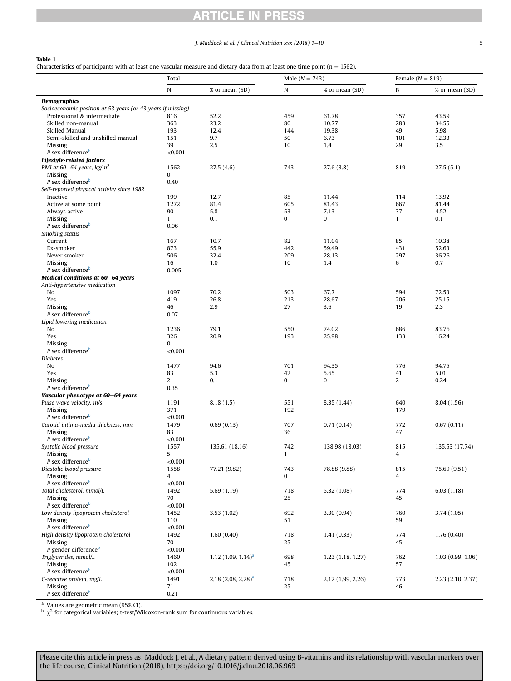# J. Maddock et al. / Clinical Nutrition xxx  $(2018)$  1-10  $\hspace{1cm}$  5

# <span id="page-4-0"></span>Table 1

Characteristics of participants with at least one vascular measure and dietary data from at least one time point ( $n = 1562$ ).

|                                                             | Total           | Male $(N = 743)$                 |                     |                   |              | Female ( $N = 819$ ) |  |
|-------------------------------------------------------------|-----------------|----------------------------------|---------------------|-------------------|--------------|----------------------|--|
|                                                             | N               | % or mean (SD)                   | N                   | % or mean (SD)    | N            | % or mean (SD)       |  |
| <b>Demographics</b>                                         |                 |                                  |                     |                   |              |                      |  |
| Socioeconomic position at 53 years (or 43 years if missing) |                 |                                  |                     |                   |              |                      |  |
| Professional & intermediate                                 | 816             | 52.2                             | 459                 | 61.78             | 357          | 43.59                |  |
| Skilled non-manual                                          | 363             | 23.2                             | 80                  | 10.77             | 283          | 34.55                |  |
| Skilled Manual                                              | 193             | 12.4                             | 144                 | 19.38             | 49           | 5.98                 |  |
| Semi-skilled and unskilled manual                           | 151             | 9.7                              | 50                  | 6.73              | 101          | 12.33                |  |
| Missing<br>P sex difference <sup>b</sup>                    | 39<br>< 0.001   | 2.5                              | 10                  | 1.4               | 29           | 3.5                  |  |
| Lifestyle-related factors                                   |                 |                                  |                     |                   |              |                      |  |
| BMI at 60–64 years, $kg/m2$                                 | 1562            | 27.5(4.6)                        | 743                 | 27.6(3.8)         | 819          | 27.5(5.1)            |  |
| Missing                                                     | $\bf{0}$        |                                  |                     |                   |              |                      |  |
| P sex difference <sup>b</sup>                               | 0.40            |                                  |                     |                   |              |                      |  |
| Self-reported physical activity since 1982                  |                 |                                  |                     |                   |              |                      |  |
| Inactive                                                    | 199             | 12.7                             | 85                  | 11.44             | 114          | 13.92                |  |
| Active at some point                                        | 1272            | 81.4                             | 605                 | 81.43             | 667          | 81.44                |  |
| Always active                                               | 90              | 5.8                              | 53                  | 7.13              | 37           | 4.52                 |  |
| Missing                                                     | $\mathbf{1}$    | 0.1                              | 0                   | 0                 | $\mathbf{1}$ | 0.1                  |  |
| P sex difference <sup>b</sup>                               | 0.06            |                                  |                     |                   |              |                      |  |
| Smoking status                                              |                 |                                  |                     |                   |              |                      |  |
| Current<br>Ex-smoker                                        | 167<br>873      | 10.7<br>55.9                     | 82<br>442           | 11.04<br>59.49    | 85<br>431    | 10.38<br>52.63       |  |
| Never smoker                                                | 506             | 32.4                             | 209                 | 28.13             | 297          | 36.26                |  |
| Missing                                                     | 16              | 1.0                              | 10                  | 1.4               | 6            | 0.7                  |  |
| P sex difference <sup>b</sup>                               | 0.005           |                                  |                     |                   |              |                      |  |
| Medical conditions at 60-64 years                           |                 |                                  |                     |                   |              |                      |  |
| Anti-hypertensive medication                                |                 |                                  |                     |                   |              |                      |  |
| No                                                          | 1097            | 70.2                             | 503                 | 67.7              | 594          | 72.53                |  |
| Yes                                                         | 419             | 26.8                             | 213                 | 28.67             | 206          | 25.15                |  |
| Missing                                                     | 46              | 2.9                              | 27                  | 3.6               | 19           | 2.3                  |  |
| $P$ sex difference <sup>b</sup>                             | 0.07            |                                  |                     |                   |              |                      |  |
| Lipid lowering medication                                   |                 |                                  |                     |                   |              |                      |  |
| No                                                          | 1236            | 79.1                             | 550                 | 74.02             | 686          | 83.76                |  |
| Yes                                                         | 326             | 20.9                             | 193                 | 25.98             | 133          | 16.24                |  |
| Missing<br>P sex difference <sup>b</sup>                    | 0               |                                  |                     |                   |              |                      |  |
| <b>Diabetes</b>                                             | < 0.001         |                                  |                     |                   |              |                      |  |
| No                                                          | 1477            | 94.6                             | 701                 | 94.35             | 776          | 94.75                |  |
| Yes                                                         | 83              | 5.3                              | 42                  | 5.65              | 41           | 5.01                 |  |
| Missing                                                     | 2               | 0.1                              | $\bf{0}$            | 0                 | 2            | 0.24                 |  |
| P sex difference <sup>b</sup>                               | 0.35            |                                  |                     |                   |              |                      |  |
| Vascular phenotype at 60-64 years                           |                 |                                  |                     |                   |              |                      |  |
| Pulse wave velocity, m/s                                    | 1191            | 8.18(1.5)                        | 551                 | 8.35 (1.44)       | 640          | 8.04 (1.56)          |  |
| Missing                                                     | 371             |                                  | 192                 |                   | 179          |                      |  |
| P sex difference <sup>b</sup>                               | < 0.001         |                                  |                     |                   |              |                      |  |
| Carotid intima-media thickness, mm                          | 1479            | 0.69(0.13)                       | 707                 | 0.71(0.14)        | 772          | 0.67(0.11)           |  |
| Missing                                                     | 83              |                                  | 36                  |                   | 47           |                      |  |
| P sex difference <sup>b</sup>                               | < 0.001         |                                  |                     |                   |              |                      |  |
| Systolic blood pressure<br>Missing                          | 1557<br>5       | 135.61 (18.16)                   | 742<br>$\mathbf{1}$ | 138.98 (18.03)    | 815<br>4     | 135.53 (17.74)       |  |
| $P$ sex difference $b$                                      | < 0.001         |                                  |                     |                   |              |                      |  |
| Diastolic blood pressure                                    | 1558            | 77.21 (9.82)                     | 743                 | 78.88 (9.88)      | 815          | 75.69 (9.51)         |  |
| Missing                                                     | 4               |                                  | $\Omega$            |                   | 4            |                      |  |
| $P$ sex difference <sup>b</sup>                             | < 0.001         |                                  |                     |                   |              |                      |  |
| Total cholesterol, mmol/L                                   | 1492            | 5.69(1.19)                       | 718                 | 5.32(1.08)        | 774          | 6.03(1.18)           |  |
| Missing                                                     | 70              |                                  | 25                  |                   | 45           |                      |  |
| $P$ sex difference $b$                                      | < 0.001         |                                  |                     |                   |              |                      |  |
| Low density lipoprotein cholesterol                         | 1452            | 3.53(1.02)                       | 692                 | 3.30 (0.94)       | 760          | 3.74(1.05)           |  |
| Missing                                                     | 110             |                                  | 51                  |                   | 59           |                      |  |
| $P$ sex difference <sup>b</sup>                             | < 0.001         |                                  |                     |                   |              |                      |  |
| High density lipoprotein cholesterol                        | 1492            | 1.60(0.40)                       | 718<br>25           | 1.41(0.33)        | 774          | 1.76(0.40)           |  |
| Missing<br>$P$ gender difference $b$                        | 70              |                                  |                     |                   | 45           |                      |  |
| Triglycerides, mmol/L                                       | < 0.001<br>1460 | $1.12$ (1.09, 1.14) <sup>a</sup> | 698                 | 1.23(1.18, 1.27)  | 762          | 1.03(0.99, 1.06)     |  |
| Missing                                                     | 102             |                                  | 45                  |                   | 57           |                      |  |
| $P$ sex difference $\overline{P}$                           | < 0.001         |                                  |                     |                   |              |                      |  |
| C-reactive protein, mg/L                                    | 1491            | $2.18$ (2.08, 2.28) <sup>a</sup> | 718                 | 2.12 (1.99, 2.26) | 773          | 2.23 (2.10, 2.37)    |  |
| Missing                                                     | 71              |                                  | 25                  |                   | 46           |                      |  |
| $P$ sex difference $b$                                      | 0.21            |                                  |                     |                   |              |                      |  |

<sup>a</sup> Values are geometric mean (95% CI).

 $\frac{b}{\chi^2}$  for categorical variables; t-test/Wilcoxon-rank sum for continuous variables.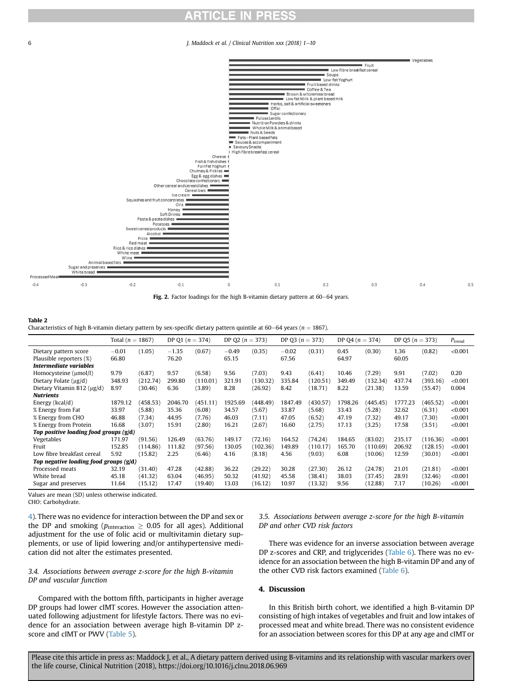#### <span id="page-5-0"></span>6 J. Maddock et al. / Clinical Nutrition xxx (2018) 1-10



Fig. 2. Factor loadings for the high B-vitamin dietary pattern at  $60-64$  years.

#### Table 2

Characteristics of high B-vitamin dietary pattern by sex-specific dietary pattern quintile at  $60-64$  years (n = 1867).

|                                                                                                                              | Total ( $n = 1867$ )               |                                        | DP Q1 $(n = 374)$                  |                                        | DP Q2 $(n = 373)$                  |                                        | DP Q3 $(n = 373)$                  |                                        | DP Q4 $(n = 374)$                  |                                        | DP Q5 $(n = 373)$                  |                                        | $P_{\text{trend}}$                       |
|------------------------------------------------------------------------------------------------------------------------------|------------------------------------|----------------------------------------|------------------------------------|----------------------------------------|------------------------------------|----------------------------------------|------------------------------------|----------------------------------------|------------------------------------|----------------------------------------|------------------------------------|----------------------------------------|------------------------------------------|
| Dietary pattern score<br>Plausible reporters (%)<br>Intermediate variables                                                   | $-0.01$<br>66.80                   | (1.05)                                 | $-1.35$<br>76.20                   | (0.67)                                 | $-0.49$<br>65.15                   | (0.35)                                 | $-0.02$<br>67.56                   | (0.31)                                 | 0.45<br>64.97                      | (0.30)                                 | 1.36<br>60.05                      | (0.82)                                 | < 0.001                                  |
| Homocysteine (µmol/l)<br>Dietary Folate $(\mu g/d)$<br>Dietary Vitamin B12 $(\mu g/d)$<br><b>Nutrients</b>                   | 9.79<br>348.93<br>8.97             | (6.87)<br>(212.74)<br>(30.46)          | 9.57<br>299.80<br>6.36             | (6.58)<br>(110.01)<br>(3.89)           | 9.56<br>321.91<br>8.28             | (7.03)<br>(130.32)<br>(26.92)          | 9.43<br>335.84<br>8.42             | (6.41)<br>(120.51)<br>(18.71)          | 10.46<br>349.49<br>8.22            | (7.29)<br>(132.34)<br>(21.38)          | 9.91<br>437.74<br>13.59            | (7.02)<br>(393.16)<br>(55.47)          | 0.20<br>< 0.001<br>0.004                 |
| Energy (kcal/d)<br>% Energy from Fat<br>% Energy from CHO<br>% Energy from Protein<br>Top positive loading food groups (g/d) | 1879.12<br>33.97<br>46.88<br>16.68 | (458.53)<br>(5.88)<br>(7.34)<br>(3.07) | 2046.70<br>35.36<br>44.95<br>15.91 | (451.11)<br>(6.08)<br>(7.76)<br>(2.80) | 1925.69<br>34.57<br>46.03<br>16.21 | (448.49)<br>(5.67)<br>(7.11)<br>(2.67) | 1847.49<br>33.87<br>47.05<br>16.60 | (430.57)<br>(5.68)<br>(6.52)<br>(2.75) | 1798.26<br>33.43<br>47.19<br>17.13 | (445.45)<br>(5.28)<br>(7.32)<br>(3.25) | 1777.23<br>32.62<br>49.17<br>17.58 | (465.52)<br>(6.31)<br>(7.30)<br>(3.51) | < 0.001<br>< 0.001<br>< 0.001<br>< 0.001 |
| Vegetables<br>Fruit<br>Low fibre breakfast cereal<br>Top negative loading food groups (g/d)                                  | 171.97<br>152.85<br>5.92           | (91.56)<br>(114.86)<br>(15.82)         | 126.49<br>111.82<br>2.25           | (63.76)<br>(97.56)<br>(6.46)           | 149.17<br>130.05<br>4.16           | (72.16)<br>(102.36)<br>(8.18)          | 164.52<br>149.89<br>4.56           | (74.24)<br>(110.17)<br>(9.03)          | 184.65<br>165.70<br>6.08           | (83.02)<br>(110.69)<br>(10.06)         | 235.17<br>206.92<br>12.59          | (116.36)<br>(128.15)<br>(30.01)        | < 0.001<br>< 0.001<br>< 0.001            |
| Processed meats<br>White bread<br>Sugar and preserves                                                                        | 32.19<br>45.18<br>11.64            | (31.40)<br>(41.32)<br>(15.12)          | 47.28<br>63.04<br>17.47            | (42.88)<br>(46.95)<br>(19.40)          | 36.22<br>50.32<br>13.03            | (29.22)<br>(41.92)<br>(16.12)          | 30.28<br>45.58<br>10.97            | (27.30)<br>(38.41)<br>(13.32)          | 26.12<br>38.03<br>9.56             | (24.78)<br>(37.45)<br>(12.88)          | 21.01<br>28.91<br>7.17             | (21.81)<br>(32.46)<br>(10.26)          | < 0.001<br>< 0.001<br>< 0.001            |

Values are mean (SD) unless otherwise indicated.

CHO: Carbohydrate.

[4\)](#page-6-0). There was no evidence for interaction between the DP and sex or the DP and smoking ( $p_{interaction} \geq 0.05$  for all ages). Additional adjustment for the use of folic acid or multivitamin dietary supplements, or use of lipid lowering and/or antihypertensive medication did not alter the estimates presented.

# 3.4. Associations between average z-score for the high B-vitamin DP and vascular function

Compared with the bottom fifth, participants in higher average DP groups had lower cIMT scores. However the association attenuated following adjustment for lifestyle factors. There was no evidence for an association between average high B-vitamin DP zscore and cIMT or PWV [\(Table 5](#page-7-0)).

# 3.5. Associations between average z-score for the high B-vitamin DP and other CVD risk factors

There was evidence for an inverse association between average DP z-scores and CRP, and triglycerides ([Table 6\)](#page-7-0). There was no evidence for an association between the high B-vitamin DP and any of the other CVD risk factors examined [\(Table 6](#page-7-0)).

# 4. Discussion

In this British birth cohort, we identified a high B-vitamin DP consisting of high intakes of vegetables and fruit and low intakes of processed meat and white bread. There was no consistent evidence for an association between scores for this DP at any age and cIMT or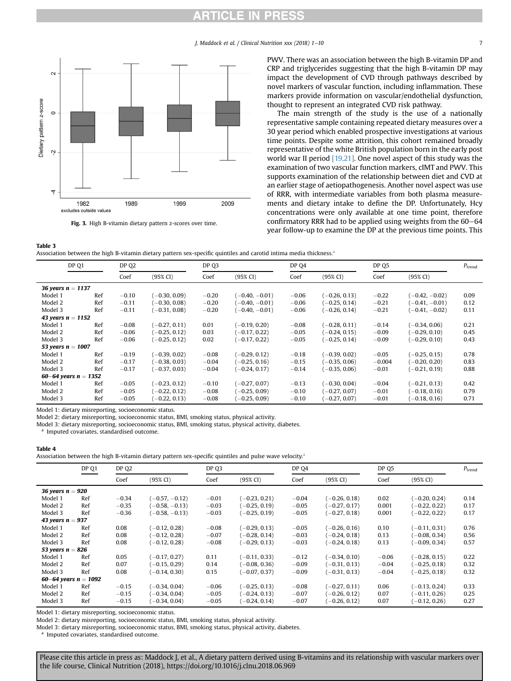# **CLE** I

*J. Maddock et al.* / Clinical Nutrition  $xxx$  (2018)  $1-10$  7

<span id="page-6-0"></span>

Fig. 3. High B-vitamin dietary pattern z-scores over time.

PWV. There was an association between the high B-vitamin DP and CRP and triglycerides suggesting that the high B-vitamin DP may impact the development of CVD through pathways described by novel markers of vascular function, including inflammation. These markers provide information on vascular/endothelial dysfunction, thought to represent an integrated CVD risk pathway.

The main strength of the study is the use of a nationally representative sample containing repeated dietary measures over a 30 year period which enabled prospective investigations at various time points. Despite some attrition, this cohort remained broadly representative of the white British population born in the early post world war II period [\[19,21\].](#page-8-0) One novel aspect of this study was the examination of two vascular function markers, cIMT and PWV. This supports examination of the relationship between diet and CVD at an earlier stage of aetiopathogenesis. Another novel aspect was use of RRR, with intermediate variables from both plasma measurements and dietary intake to define the DP. Unfortunately, Hcy concentrations were only available at one time point, therefore confirmatory RRR had to be applied using weights from the  $60-64$ year follow-up to examine the DP at the previous time points. This

| Association between the high B-vitamin dietary pattern sex-specific quintiles and carotid intima media thickness. <sup>8</sup> |  |  |  |
|--------------------------------------------------------------------------------------------------------------------------------|--|--|--|
|--------------------------------------------------------------------------------------------------------------------------------|--|--|--|

| DP Q1                |     | <b>DP 02</b> |                 | <b>DP 03</b> |                     |         |                 | <b>DP 05</b> |                     | $P_{\text{trend}}$ |
|----------------------|-----|--------------|-----------------|--------------|---------------------|---------|-----------------|--------------|---------------------|--------------------|
|                      |     | Coef         | (95% CI)        | Coef         | $(95\% \text{ CI})$ | Coef    | (95% CI)        | Coef         | $(95\% \text{ CI})$ |                    |
| 36 years n $= 1137$  |     |              |                 |              |                     |         |                 |              |                     |                    |
| Model 1              | Ref | $-0.10$      | $(-0.30, 0.09)$ | $-0.20$      | $(-0.40, -0.01)$    | $-0.06$ | $(-0.26, 0.13)$ | $-0.22$      | $(-0.42, -0.02)$    | 0.09               |
| Model 2              | Ref | $-0.11$      | $(-0.30, 0.08)$ | $-0.20$      | $(-0.40, -0.01)$    | $-0.06$ | $(-0.25, 0.14)$ | $-0.21$      | $-0.41, -0.01$      | 0.12               |
| Model 3              | Ref | $-0.11$      | $(-0.31, 0.08)$ | $-0.20$      | $(-0.40, -0.01)$    | $-0.06$ | $(-0.26, 0.14)$ | $-0.21$      | $(-0.41, -0.02)$    | 0.11               |
| 43 years $n = 1152$  |     |              |                 |              |                     |         |                 |              |                     |                    |
| Model 1              | Ref | $-0.08$      | $(-0.27, 0.11)$ | 0.01         | $(-0.19, 0.20)$     | $-0.08$ | $(-0.28, 0.11)$ | $-0.14$      | $-0.34, 0.06$       | 0.21               |
| Model 2              | Ref | $-0.06$      | $-0.25, 0.12$   | 0.03         | $(-0.17, 0.22)$     | $-0.05$ | $(-0.24, 0.15)$ | $-0.09$      | $-0.29, 0.10$       | 0.45               |
| Model 3              | Ref | $-0.06$      | $(-0.25, 0.12)$ | 0.02         | $(-0.17, 0.22)$     | $-0.05$ | $(-0.25, 0.14)$ | $-0.09$      | $-0.29, 0.10$       | 0.43               |
| 53 years $n = 1007$  |     |              |                 |              |                     |         |                 |              |                     |                    |
| Model 1              | Ref | $-0.19$      | $(-0.39, 0.02)$ | $-0.08$      | $(-0.29, 0.12)$     | $-0.18$ | $(-0.39, 0.02)$ | $-0.05$      | $(-0.25, 0.15)$     | 0.78               |
| Model 2              | Ref | $-0.17$      | $-0.38, 0.03$   | $-0.04$      | $(-0.25, 0.16)$     | $-0.15$ | $(-0.35, 0.06)$ | $-0.004$     | $(-0.20, 0.20)$     | 0.83               |
| Model 3              | Ref | $-0.17$      | $(-0.37, 0.03)$ | $-0.04$      | $(-0.24, 0.17)$     | $-0.14$ | $(-0.35, 0.06)$ | $-0.01$      | $-0.21, 0.19$       | 0.88               |
| 60–64 years n = 1352 |     |              |                 |              |                     |         |                 |              |                     |                    |
| Model 1              | Ref | $-0.05$      | $(-0.23, 0.12)$ | $-0.10$      | $(-0.27, 0.07)$     | $-0.13$ | $(-0.30, 0.04)$ | $-0.04$      | $(-0.21, 0.13)$     | 0.42               |
| Model 2              | Ref | $-0.05$      | $-0.22, 0.12$   | $-0.08$      | $(-0.25, 0.09)$     | $-0.10$ | $(-0.27, 0.07)$ | $-0.01$      | $-0.18, 0.16$       | 0.79               |
| Model 3              | Ref | $-0.05$      | $-0.22, 0.13$   | $-0.08$      | $(-0.25, 0.09)$     | $-0.10$ | $(-0.27, 0.07)$ | $-0.01$      | $-0.18, 0.16$       | 0.71               |

Model 1: dietary misreporting, socioeconomic status.

Model 2: dietary misreporting, socioeconomic status, BMI, smoking status, physical activity.

Model 3: dietary misreporting, socioeconomic status, BMI, smoking status, physical activity, diabetes.

<sup>a</sup> Imputed covariates, standardised outcome.

#### Table 4

Table 3

Association between the high B-vitamin dietary pattern sex-specific quintiles and pulse wave velocity.<sup>a</sup>

|                      | DP Q1 | DP Q <sub>2</sub> |                  | DP Q3   |                     |         |                 | <b>DP 05</b> | $P_{\text{trend}}$  |      |
|----------------------|-------|-------------------|------------------|---------|---------------------|---------|-----------------|--------------|---------------------|------|
|                      |       | Coef              | (95% CI)         | Coef    | $(95\% \text{ CI})$ | Coef    | (95% CI)        | Coef         | $(95\% \text{ CI})$ |      |
| 36 years $n = 920$   |       |                   |                  |         |                     |         |                 |              |                     |      |
| Model 1              | Ref   | $-0.34$           | $(-0.57, -0.12)$ | $-0.01$ | $(-0.23, 0.21)$     | $-0.04$ | $(-0.26, 0.18)$ | 0.02         | $(-0.20, 0.24)$     | 0.14 |
| Model 2              | Ref   | $-0.35$           | $(-0.58, -0.13)$ | $-0.03$ | $-0.25, 0.19$       | $-0.05$ | $(-0.27, 0.17)$ | 0.001        | $(-0.22, 0.22)$     | 0.17 |
| Model 3              | Ref   | $-0.36$           | $(-0.58, -0.13)$ | $-0.03$ | $(-0.25, 0.19)$     | $-0.05$ | $(-0.27, 0.18)$ | 0.001        | $(-0.22, 0.22)$     | 0.17 |
| 43 years $n = 937$   |       |                   |                  |         |                     |         |                 |              |                     |      |
| Model 1              | Ref   | 0.08              | $(-0.12, 0.28)$  | $-0.08$ | $(-0.29, 0.13)$     | $-0.05$ | $(-0.26, 0.16)$ | 0.10         | $(-0.11, 0.31)$     | 0.76 |
| Model 2              | Ref   | 0.08              | $(-0.12, 0.28)$  | $-0.07$ | $(-0.28, 0.14)$     | $-0.03$ | $(-0.24, 0.18)$ | 0.13         | $(-0.08, 0.34)$     | 0.56 |
| Model 3              | Ref   | 0.08              | $(-0.12, 0.28)$  | $-0.08$ | $(-0.29, 0.13)$     | $-0.03$ | $(-0.24, 0.18)$ | 0.13         | $(-0.09, 0.34)$     | 0.57 |
| 53 years $n = 826$   |       |                   |                  |         |                     |         |                 |              |                     |      |
| Model 1              | Ref   | 0.05              | $(-0.17, 0.27)$  | 0.11    | $(-0.11, 0.33)$     | $-0.12$ | $(-0.34, 0.10)$ | $-0.06$      | $(-0.28, 0.15)$     | 0.22 |
| Model 2              | Ref   | 0.07              | $-0.15, 0.29$    | 0.14    | $-0.08, 0.36$       | $-0.09$ | $(-0.31, 0.13)$ | $-0.04$      | $(-0.25, 0.18)$     | 0.32 |
| Model 3              | Ref   | 0.08              | $(-0.14, 0.30)$  | 0.15    | $-0.07, 0.37$       | $-0.09$ | $(-0.31, 0.13)$ | $-0.04$      | $(-0.25, 0.18)$     | 0.32 |
| 60–64 years n = 1092 |       |                   |                  |         |                     |         |                 |              |                     |      |
| Model 1              | Ref   | $-0.15$           | $(-0.34, 0.04)$  | $-0.06$ | $(-0.25, 0.13)$     | $-0.08$ | $(-0.27, 0.11)$ | 0.06         | $(-0.13, 0.24)$     | 0.33 |
| Model 2              | Ref   | $-0.15$           | $(-0.34, 0.04)$  | $-0.05$ | $(-0.24, 0.13)$     | $-0.07$ | $(-0.26, 0.12)$ | 0.07         | $(-0.11, 0.26)$     | 0.25 |
| Model 3              | Ref   | $-0.15$           | $(-0.34, 0.04)$  | $-0.05$ | $(-0.24, 0.14)$     | $-0.07$ | $(-0.26, 0.12)$ | 0.07         | $(-0.12, 0.26)$     | 0.27 |

Model 1: dietary misreporting, socioeconomic status.

Model 2: dietary misreporting, socioeconomic status, BMI, smoking status, physical activity.

Model 3: dietary misreporting, socioeconomic status, BMI, smoking status, physical activity, diabetes.

Imputed covariates, standardised outcome.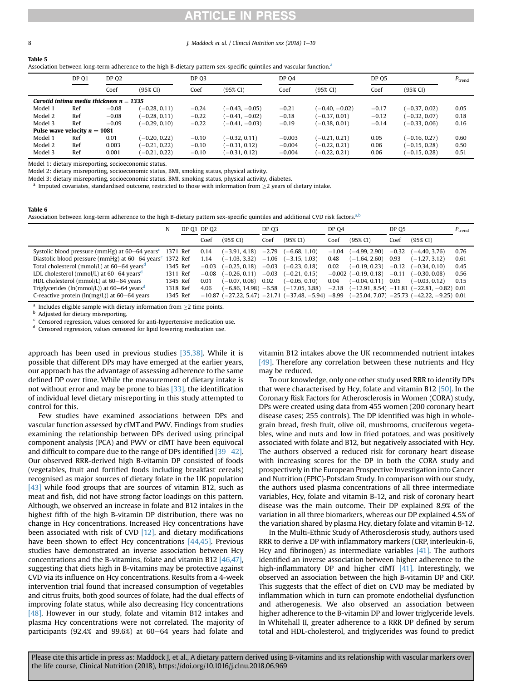#### <span id="page-7-0"></span>8  $\blacksquare$  J. Maddock et al. / Clinical Nutrition xxx (2018) 1–10

#### Table 5

Association between long-term adherence to the high B-dietary pattern sex-specific quintiles and vascular function.<sup>a</sup>

|                                           | DP Q1                          | DP Q2   |                 | <b>DP 03</b> |                  |          |                  | DP 05   | $P_{\text{trend}}$ |      |
|-------------------------------------------|--------------------------------|---------|-----------------|--------------|------------------|----------|------------------|---------|--------------------|------|
|                                           |                                | Coef    | (95% CI)        | Coef         | (95% CI)         | Coef     | (95% CI)         | Coef    | (95% CI)           |      |
| Carotid intima media thickness $n = 1335$ |                                |         |                 |              |                  |          |                  |         |                    |      |
| Model 1                                   | Ref                            | $-0.08$ | $(-0.28, 0.11)$ | $-0.24$      | $(-0.43, -0.05)$ | $-0.21$  | $(-0.40, -0.02)$ | $-0.17$ | $(-0.37, 0.02)$    | 0.05 |
| Model 2                                   | Ref                            | $-0.08$ | $(-0.28, 0.11)$ | $-0.22$      | $(-0.41, -0.02)$ | $-0.18$  | $(-0.37, 0.01)$  | $-0.12$ | $(-0.32, 0.07)$    | 0.18 |
| Model 3                                   | Ref                            | $-0.09$ | $(-0.29, 0.10)$ | $-0.22$      | $(-0.41, -0.03)$ | $-0.19$  | $(-0.38, 0.01)$  | $-0.14$ | $(-0.33, 0.06)$    | 0.16 |
|                                           | Pulse wave velocity $n = 1081$ |         |                 |              |                  |          |                  |         |                    |      |
| Model 1                                   | Ref                            | 0.01    | $(-0.20, 0.22)$ | $-0.10$      | $(-0.32, 0.11)$  | $-0.003$ | $(-0.21, 0.21)$  | 0.05    | $(-0.16, 0.27)$    | 0.60 |
| Model 2                                   | Ref                            | 0.003   | $(-0.21, 0.22)$ | $-0.10$      | $(-0.31, 0.12)$  | $-0.004$ | $(-0.22, 0.21)$  | 0.06    | $(-0.15, 0.28)$    | 0.50 |
| Model 3                                   | Ref                            | 0.001   | $(-0.21, 0.22)$ | $-0.10$      | $(-0.31, 0.12)$  | $-0.004$ | $(-0.22, 0.21)$  | 0.06    | $(-0.15, 0.28)$    | 0.51 |

Model 1: dietary misreporting, socioeconomic status.

Model 2: dietary misreporting, socioeconomic status, BMI, smoking status, physical activity.

Model 3: dietary misreporting, socioeconomic status, BMI, smoking status, physical activity, diabetes.

<sup>a</sup> Imputed covariates, standardised outcome, restricted to those with information from  $\geq$  years of dietary intake.

#### Table 6

Association between long-term adherence to the high B-dietary pattern sex-specific quintiles and additional CVD risk factors.<sup>a,b</sup>

|                                                                                     |          | DP 01 DP 02 |                        | DP 03   |                                                                     | <b>DP 04</b> |                            | <b>DP 05</b> |                                                  | $P_{\text{trend}}$ |
|-------------------------------------------------------------------------------------|----------|-------------|------------------------|---------|---------------------------------------------------------------------|--------------|----------------------------|--------------|--------------------------------------------------|--------------------|
|                                                                                     |          | Coef        | (95% CI)               | Coef    | $(95\% \text{ CI})$                                                 | Coef         | (95% CI)                   | Coef         | (95% CI)                                         |                    |
| Systolic blood pressure (mmHg) at $60-64$ years <sup><math>c</math></sup> 1371 Ref  |          | 0.14        | ( –3.91. 4.18)         | $-2.79$ | $(-6.68, 1.10)$                                                     | $-1.04$      | $(-4.99, 2.90)$            | $-0.32$      | $(-4.40, 3.76)$                                  | 0.76               |
| Diastolic blood pressure (mmHg) at $60-64$ years <sup><math>c</math></sup> 1372 Ref |          | 1.14        | $(-1.03, 3.32)$        | $-1.06$ | $(-3.15, 1.03)$                                                     | 0.48         | $(-1.64, 2.60)$            | 0.93         | $(-1.27, 3.12)$                                  | 0.61               |
| Total cholesterol (mmol/L) at 60–64 years <sup>d</sup>                              | 1345 Ref | $-0.03$     | $(-0.25, 0.18)$        | $-0.03$ | $(-0.23, 0.18)$                                                     | 0.02         | $(-0.19, 0.23)$            | $-0.12$      | $(-0.34, 0.10)$                                  | 0.45               |
| LDL cholesterol (mmol/L) at $60-64$ years <sup>d</sup>                              | 1311 Ref | $-0.08$     | $(-0.26, 0.11)$        | $-0.03$ | $(-0.21, 0.15)$                                                     |              | $-0.002$ ( $-0.19$ , 0.18) | $-0.11$      | $(-0.30, 0.08)$                                  | 0.56               |
| HDL cholesterol ( $mmol/L$ ) at $60-64$ years                                       | 1345 Ref | 0.01        | $(-0.07, 0.08)$        | 0.02    | $(-0.05, 0.10)$                                                     | 0.04         | $(-0.04, 0.11)$            | 0.05         | $(-0.03, 0.12)$                                  | 0.15               |
| Triglycerides ( $ln(mmol/L)$ ) at 60–64 years <sup><math>d</math></sup>             | 1318 Ref | 4.06        | $(-6.86, 14.98) -6.58$ |         | $(-17.05, 3.88)$                                                    | $-2.18$      |                            |              | $(-12.91, 8.54) -11.81$ $(-22.81, -0.82)$ 0.01   |                    |
| C-reactive protein ( $\ln(mg/L)$ ) at 60–64 years                                   | 1345 Ref |             |                        |         | $-10.87$ ( $-27.22$ , 5.47) $-21.71$ ( $-37.48$ , $-5.94$ ) $-8.99$ |              |                            |              | $(-25.04, 7.07)$ $-25.73$ $(-42.22, -9.25)$ 0.01 |                    |

 $^{\rm a}$  Includes eligible sample with dietary information from  ${\ge}2$  time points.  $^{\rm b}$  Adjusted for dietary misreporting.

<sup>c</sup> Censored regression, values censored for anti-hypertensive medication use.

<sup>d</sup> Censored regression, values censored for lipid lowering medication use.

approach has been used in previous studies [\[35,38\]](#page-9-0). While it is possible that different DPs may have emerged at the earlier years, our approach has the advantage of assessing adherence to the same defined DP over time. While the measurement of dietary intake is not without error and may be prone to bias [\[33\],](#page-9-0) the identification of individual level dietary misreporting in this study attempted to control for this.

Few studies have examined associations between DPs and vascular function assessed by cIMT and PWV. Findings from studies examining the relationship between DPs derived using principal component analysis (PCA) and PWV or cIMT have been equivocal and difficult to compare due to the range of DPs identified  $[39-42]$  $[39-42]$ . Our observed RRR-derived high B-vitamin DP consisted of foods (vegetables, fruit and fortified foods including breakfast cereals) recognised as major sources of dietary folate in the UK population [\[43\]](#page-9-0) while food groups that are sources of vitamin B12, such as meat and fish, did not have strong factor loadings on this pattern. Although, we observed an increase in folate and B12 intakes in the highest fifth of the high B-vitamin DP distribution, there was no change in Hcy concentrations. Increased Hcy concentrations have been associated with risk of CVD  $[12]$ , and dietary modifications have been shown to effect Hcy concentrations [\[44,45\].](#page-9-0) Previous studies have demonstrated an inverse association between Hcy concentrations and the B-vitamins, folate and vitamin B12 [\[46,47\],](#page-9-0) suggesting that diets high in B-vitamins may be protective against CVD via its influence on Hcy concentrations. Results from a 4-week intervention trial found that increased consumption of vegetables and citrus fruits, both good sources of folate, had the dual effects of improving folate status, while also decreasing Hcy concentrations [\[48\]](#page-9-0). However in our study, folate and vitamin B12 intakes and plasma Hcy concentrations were not correlated. The majority of participants  $(92.4\%$  and  $99.6\%)$  at  $60-64$  years had folate and vitamin B12 intakes above the UK recommended nutrient intakes [\[49\]](#page-9-0). Therefore any correlation between these nutrients and Hcy may be reduced.

To our knowledge, only one other study used RRR to identify DPs that were characterised by Hcy, folate and vitamin B12 [\[50\]](#page-9-0). In the Coronary Risk Factors for Atherosclerosis in Women (CORA) study, DPs were created using data from 455 women (200 coronary heart disease cases; 255 controls). The DP identified was high in wholegrain bread, fresh fruit, olive oil, mushrooms, cruciferous vegetables, wine and nuts and low in fried potatoes, and was positively associated with folate and B12, but negatively associated with Hcy. The authors observed a reduced risk for coronary heart disease with increasing scores for the DP in both the CORA study and prospectively in the European Prospective Investigation into Cancer and Nutrition (EPIC)-Potsdam Study. In comparison with our study, the authors used plasma concentrations of all three intermediate variables, Hcy, folate and vitamin B-12, and risk of coronary heart disease was the main outcome. Their DP explained 8.9% of the variation in all three biomarkers, whereas our DP explained 4.5% of the variation shared by plasma Hcy, dietary folate and vitamin B-12.

In the Multi-Ethnic Study of Atherosclerosis study, authors used RRR to derive a DP with inflammatory markers (CRP, interleukin-6, Hcy and fibrinogen) as intermediate variables  $[41]$ . The authors identified an inverse association between higher adherence to the high-inflammatory DP and higher cIMT [\[41\].](#page-9-0) Interestingly, we observed an association between the high B-vitamin DP and CRP. This suggests that the effect of diet on CVD may be mediated by inflammation which in turn can promote endothelial dysfunction and atherogenesis. We also observed an association between higher adherence to the B-vitamin DP and lower triglyceride levels. In Whitehall II, greater adherence to a RRR DP defined by serum total and HDL-cholesterol, and triglycerides was found to predict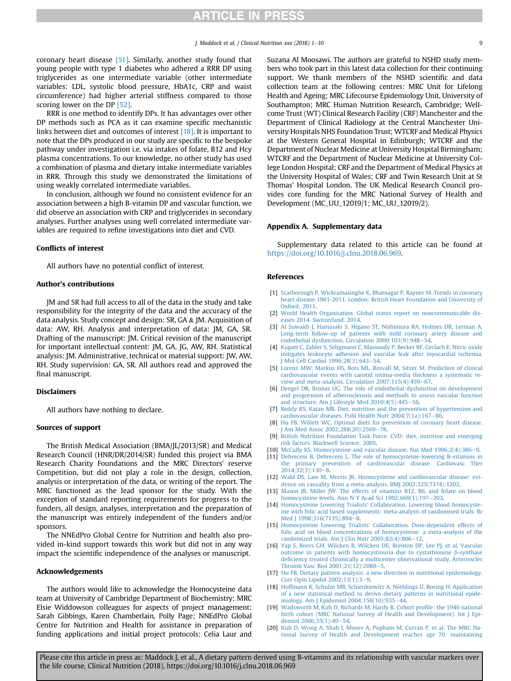<span id="page-8-0"></span>coronary heart disease [\[51\].](#page-9-0) Similarly, another study found that young people with type 1 diabetes who adhered a RRR DP using triglycerides as one intermediate variable (other intermediate variables: LDL, systolic blood pressure, HbA1c, CRP and waist circumference) had higher arterial stiffness compared to those scoring lower on the DP [\[52\].](#page-9-0)

RRR is one method to identify DPs. It has advantages over other DP methods such as PCA as it can examine specific mechanistic links between diet and outcomes of interest [18]. It is important to note that the DPs produced in our study are specific to the bespoke pathway under investigation i.e. via intakes of folate, B12 and Hcy plasma concentrations. To our knowledge, no other study has used a combination of plasma and dietary intake intermediate variables in RRR. Through this study we demonstrated the limitations of using weakly correlated intermediate variables.

In conclusion, although we found no consistent evidence for an association between a high B-vitamin DP and vascular function, we did observe an association with CRP and triglycerides in secondary analyses. Further analyses using well correlated intermediate variables are required to refine investigations into diet and CVD.

#### Conflicts of interest

All authors have no potential conflict of interest.

### Author's contributions

JM and SR had full access to all of the data in the study and take responsibility for the integrity of the data and the accuracy of the data analysis. Study concept and design: SR, GA & JM. Acquisition of data: AW, RH. Analysis and interpretation of data: JM, GA, SR. Drafting of the manuscript: JM. Critical revision of the manuscript for important intellectual content: JM, GA, JG, AW, RH. Statistical analysis: JM. Administrative, technical or material support: JW, AW, RH. Study supervision: GA, SR. All authors read and approved the final manuscript.

## Disclaimers

All authors have nothing to declare.

### Sources of support

The British Medical Association (BMA/JL/2013/SR) and Medical Research Council (HNR/DR/2014/SR) funded this project via BMA Research Charity Foundations and the MRC Directors' reserve Competition, but did not play a role in the design, collection, analysis or interpretation of the data, or writing of the report. The MRC functioned as the lead sponsor for the study. With the exception of standard reporting requirements for progress to the funders, all design, analyses, interpretation and the preparation of the manuscript was entirely independent of the funders and/or sponsors.

The NNEdPro Global Centre for Nutrition and health also provided in-kind support towards this work but did not in any way impact the scientific independence of the analyses or manuscript.

#### Acknowledgements

The authors would like to acknowledge the Homocysteine data team at University of Cambridge Department of Biochemistry; MRC Elsie Widdowson colleagues for aspects of project management: Sarah Gibbings, Karen Chamberlain, Polly Page; NNEdPro Global Centre for Nutrition and Health for assistance in preparation of funding applications and initial project protocols: Celia Laur and Suzana Al Moosawi. The authors are grateful to NSHD study members who took part in this latest data collection for their continuing support. We thank members of the NSHD scientific and data collection team at the following centres: MRC Unit for Lifelong Health and Ageing; MRC Lifecourse Epidemiology Unit, University of Southampton; MRC Human Nutrition Research, Cambridge; Wellcome Trust (WT) Clinical Research Facility (CRF) Manchester and the Department of Clinical Radiology at the Central Manchester University Hospitals NHS Foundation Trust; WTCRF and Medical Physics at the Western General Hospital in Edinburgh; WTCRF and the Department of Nuclear Medicine at University Hospital Birmingham; WTCRF and the Department of Nuclear Medicine at University College London Hospital; CRF and the Department of Medical Physics at the University Hospital of Wales; CRF and Twin Research Unit at St Thomas' Hospital London. The UK Medical Research Council provides core funding for the MRC National Survey of Health and Development (MC\_UU\_12019/1; MC\_UU\_12019/2).

#### Appendix A. Supplementary data

Supplementary data related to this article can be found at [https://doi.org/10.1016/j.clnu.2018.06.969.](https://doi.org/10.1016/j.clnu.2018.06.969)

### References

- [1] [Scarborough P, Wickramasinghe K, Bhatnagar P, Rayner M. Trends in coronary](http://refhub.elsevier.com/S0261-5614(18)31188-9/sref1) [heart disease 1961-2011. London: British Heart Foundation and University of](http://refhub.elsevier.com/S0261-5614(18)31188-9/sref1) [Oxford; 2011.](http://refhub.elsevier.com/S0261-5614(18)31188-9/sref1)
- [2] [World Health Organisation. Global status report on noncommunicable dis](http://refhub.elsevier.com/S0261-5614(18)31188-9/sref2)[eases 2014. Switzerland. 2014.](http://refhub.elsevier.com/S0261-5614(18)31188-9/sref2)
- [3] [Al Suwaidi J, Hamasaki S, Higano ST, Nishimura RA, Holmes DR, Lerman A.](http://refhub.elsevier.com/S0261-5614(18)31188-9/sref3) [Long-term follow-up of patients with mild coronary artery disease and](http://refhub.elsevier.com/S0261-5614(18)31188-9/sref3) [endothelial dysfunction. Circulation 2000;101\(9\):948](http://refhub.elsevier.com/S0261-5614(18)31188-9/sref3)-[54](http://refhub.elsevier.com/S0261-5614(18)31188-9/sref3).
- [4] [Kupatt C, Zahler S, Seligmann C, Massoudy P, Becker BF, Gerlach E. Nitric oxide](http://refhub.elsevier.com/S0261-5614(18)31188-9/sref4) [mitigates leukocyte adhesion and vascular leak after myocardial ischemia.](http://refhub.elsevier.com/S0261-5614(18)31188-9/sref4) [J Mol Cell Cardiol 1996;28\(3\):643](http://refhub.elsevier.com/S0261-5614(18)31188-9/sref4)-[54.](http://refhub.elsevier.com/S0261-5614(18)31188-9/sref4)
- [5] [Lorenz MW, Markus HS, Bots ML, Rosvall M, Sitzer M. Prediction of clinical](http://refhub.elsevier.com/S0261-5614(18)31188-9/sref5) [cardiovascular events with carotid intima-media thickness a systematic re](http://refhub.elsevier.com/S0261-5614(18)31188-9/sref5)view and meta-analysis. Circulation  $2007:115(4):459-67$  $2007:115(4):459-67$ .
- [6] [Dengel DR, Bronas UG. The role of endothelial dysfunction on development](http://refhub.elsevier.com/S0261-5614(18)31188-9/sref6) [and progression of atherosclerosis and methods to assess vascular function](http://refhub.elsevier.com/S0261-5614(18)31188-9/sref6) and structure. Am I Lifestyle Med  $2010:4(5):445-56$  $2010:4(5):445-56$ .
- [7] [Reddy KS, Katan MB. Diet, nutrition and the prevention of hypertension and](http://refhub.elsevier.com/S0261-5614(18)31188-9/sref7) cardiovascular diseases. Publ Health Nutr  $2004:7(1a):167-86$  $2004:7(1a):167-86$ .
- [8] [Hu FB, Willett WC. Optimal diets for prevention of coronary heart disease.](http://refhub.elsevier.com/S0261-5614(18)31188-9/sref8) [J Am Med Assoc 2002;288\(20\):2569](http://refhub.elsevier.com/S0261-5614(18)31188-9/sref8)-[78](http://refhub.elsevier.com/S0261-5614(18)31188-9/sref8).
- [9] [British Nutrition Foundation Task Force. CVD: diet, nutrition and emerging](http://refhub.elsevier.com/S0261-5614(18)31188-9/sref9) [risk factors. Blackwell Science; 2005](http://refhub.elsevier.com/S0261-5614(18)31188-9/sref9).
- [10] [McCully KS. Homocysteine and vascular disease. Nat Med 1996;2\(4\):386](http://refhub.elsevier.com/S0261-5614(18)31188-9/sref10)-[9.](http://refhub.elsevier.com/S0261-5614(18)31188-9/sref10)
- [11] [Debreceni B, Debreceni L. The role of homocysteine-lowering B-vitamins in](http://refhub.elsevier.com/S0261-5614(18)31188-9/sref11) [the primary prevention of cardiovascular disease. Cardiovasc Ther](http://refhub.elsevier.com/S0261-5614(18)31188-9/sref11) 2014:32(3):130-[8.](http://refhub.elsevier.com/S0261-5614(18)31188-9/sref11)
- [12] [Wald DS, Law M, Morris JK. Homocysteine and cardiovascular disease: evi](http://refhub.elsevier.com/S0261-5614(18)31188-9/sref12)[dence on causality from a meta-analysis. BMJ 2002;325\(7374\):1202.](http://refhub.elsevier.com/S0261-5614(18)31188-9/sref12)
- [13] [Mason JB, Miller JW. The effects of vitamins B12, B6, and folate on blood](http://refhub.elsevier.com/S0261-5614(18)31188-9/sref13) [homocysteine levels. Ann N Y Acad Sci 1992;669\(1\):197](http://refhub.elsevier.com/S0261-5614(18)31188-9/sref13)-[203](http://refhub.elsevier.com/S0261-5614(18)31188-9/sref13).
- [14] [Homocysteine Lowering Trialists' Collaboration. Lowering blood homocyste](http://refhub.elsevier.com/S0261-5614(18)31188-9/sref14)[ine with folic acid based supplements: meta-analysis of randomised trials. Br](http://refhub.elsevier.com/S0261-5614(18)31188-9/sref14) Med I 199[8](http://refhub.elsevier.com/S0261-5614(18)31188-9/sref14):316(7135):894-8.
- [15] [Homocysteine Lowering Trialists' Collaboration. Dose-dependent effects of](http://refhub.elsevier.com/S0261-5614(18)31188-9/sref15) [folic acid on blood concentrations of homocysteine: a meta-analysis of the](http://refhub.elsevier.com/S0261-5614(18)31188-9/sref15) randomized trials. Am I Clin Nutr  $2005:82(4):806-12$  $2005:82(4):806-12$ .
- [16] [Yap S, Boers GH, Wilcken B, Wilcken DE, Brenton DP, Lee PJ, et al. Vascular](http://refhub.elsevier.com/S0261-5614(18)31188-9/sref16) [outcome in patients with homocystinuria due to cystathionine](http://refhub.elsevier.com/S0261-5614(18)31188-9/sref16)  $\beta$ -synthase defi[ciency treated chronically a multicenter observational study. Arterioscler](http://refhub.elsevier.com/S0261-5614(18)31188-9/sref16) [Thromb Vasc Biol 2001;21\(12\):2080](http://refhub.elsevier.com/S0261-5614(18)31188-9/sref16)-[5](http://refhub.elsevier.com/S0261-5614(18)31188-9/sref16).
- [17] [Hu FB. Dietary pattern analysis: a new direction in nutritional epidemiology.](http://refhub.elsevier.com/S0261-5614(18)31188-9/sref17) [Curr Opin Lipidol 2002;13\(1\):3](http://refhub.elsevier.com/S0261-5614(18)31188-9/sref17)-[9](http://refhub.elsevier.com/S0261-5614(18)31188-9/sref17).
- [18] Hoffmann K, Schulze MB, Schienkiewitz A, Nöthlings U, Boeing H. Application [of a new statistical method to derive dietary patterns in nutritional epide](http://refhub.elsevier.com/S0261-5614(18)31188-9/sref18)[miology. Am J Epidemiol 2004;159\(10\):935](http://refhub.elsevier.com/S0261-5614(18)31188-9/sref18)-[44](http://refhub.elsevier.com/S0261-5614(18)31188-9/sref18).
- [19] [Wadsworth M, Kuh D, Richards M, Hardy R. Cohort pro](http://refhub.elsevier.com/S0261-5614(18)31188-9/sref19)file: the 1946 national [birth cohort \(MRC National Survey of Health and Development\). Int J Epi-](http://refhub.elsevier.com/S0261-5614(18)31188-9/sref19)demiol 2006:35(1):49-[54](http://refhub.elsevier.com/S0261-5614(18)31188-9/sref19).
- [20] [Kuh D, Wong A, Shah I, Moore A, Popham M, Curran P, et al. The MRC Na](http://refhub.elsevier.com/S0261-5614(18)31188-9/sref20)[tional Survey of Health and Development reaches age 70: maintaining](http://refhub.elsevier.com/S0261-5614(18)31188-9/sref20)